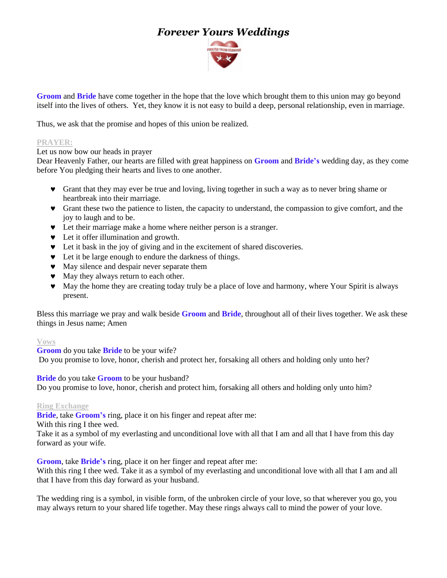# *Forever Yours Weddings*



**Groom** and **Bride** have come together in the hope that the love which brought them to this union may go beyond itself into the lives of others. Yet, they know it is not easy to build a deep, personal relationship, even in marriage.

Thus, we ask that the promise and hopes of this union be realized.

## **PRAYER:**

Let us now bow our heads in prayer

Dear Heavenly Father, our hearts are filled with great happiness on **Groom** and **Bride's** wedding day, as they come before You pledging their hearts and lives to one another.

- Grant that they may ever be true and loving, living together in such a way as to never bring shame or heartbreak into their marriage.
- Grant these two the patience to listen, the capacity to understand, the compassion to give comfort, and the joy to laugh and to be.
- Let their marriage make a home where neither person is a stranger.
- $\bullet$  Let it offer illumination and growth.
- Let it bask in the joy of giving and in the excitement of shared discoveries.
- $\bullet$  Let it be large enough to endure the darkness of things.
- May silence and despair never separate them
- $\bullet$  May they always return to each other.
- May the home they are creating today truly be a place of love and harmony, where Your Spirit is always present.

Bless this marriage we pray and walk beside **Groom** and **Bride**, throughout all of their lives together. We ask these things in Jesus name; Amen

#### **Vows**

**Groom** do you take **Bride** to be your wife?

Do you promise to love, honor, cherish and protect her, forsaking all others and holding only unto her?

### **Bride** do you take **Groom** to be your husband?

Do you promise to love, honor*,* cherish and protect him, forsaking all others and holding only unto him?

#### **Ring Exchange**

**Bride**, take **Groom's** ring, place it on his finger and repeat after me:

With this ring I thee wed.

Take it as a symbol of my everlasting and unconditional love with all that I am and all that I have from this day forward as your wife.

**Groom**, take **Bride's** ring, place it on her finger and repeat after me:

With this ring I thee wed. Take it as a symbol of my everlasting and unconditional love with all that I am and all that I have from this day forward as your husband.

The wedding ring is a symbol, in visible form, of the unbroken circle of your love, so that wherever you go, you may always return to your shared life together. May these rings always call to mind the power of your love.